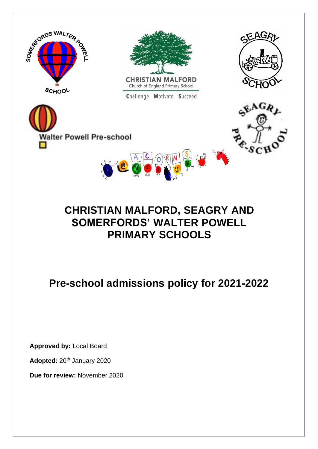

## **CHRISTIAN MALFORD, SEAGRY AND SOMERFORDS' WALTER POWELL PRIMARY SCHOOLS**

# **Pre-school admissions policy for 2021-2022**

**Approved by:** Local Board

Adopted: 20<sup>th</sup> January 2020

**Due for review:** November 2020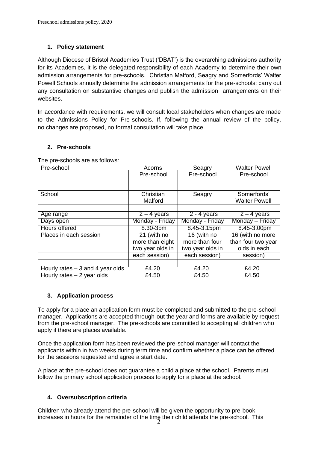## **1. Policy statement**

Although Diocese of Bristol Academies Trust ('DBAT') is the overarching admissions authority for its Academies, it is the delegated responsibility of each Academy to determine their own admission arrangements for pre-schools. Christian Malford, Seagry and Somerfords' Walter Powell Schools annually determine the admission arrangements for the pre-schools; carry out any consultation on substantive changes and publish the admission arrangements on their websites.

In accordance with requirements, we will consult local stakeholders when changes are made to the Admissions Policy for Pre-schools. If, following the annual review of the policy, no changes are proposed, no formal consultation will take place.

### **2. Pre-schools**

The pre-schools are as follows:

| Pre-school                        | Acorns           | Seagry           | <b>Walter Powell</b> |
|-----------------------------------|------------------|------------------|----------------------|
|                                   | Pre-school       | Pre-school       | Pre-school           |
|                                   |                  |                  |                      |
|                                   |                  |                  |                      |
| School                            | Christian        | Seagry           | Somerfords'          |
|                                   | Malford          |                  | <b>Walter Powell</b> |
|                                   |                  |                  |                      |
| Age range                         | $2 - 4$ years    | $2 - 4$ years    | $2 - 4$ years        |
| Days open                         | Monday - Friday  | Monday - Friday  | Monday - Friday      |
| <b>Hours offered</b>              | $8.30 - 3pm$     | 8.45-3.15pm      | 8.45-3.00pm          |
| Places in each session            | 21 (with no      | 16 (with no      | 16 (with no more     |
|                                   | more than eight  | more than four   | than four two year   |
|                                   | two year olds in | two year olds in | olds in each         |
|                                   | each session)    | each session)    | session)             |
|                                   |                  |                  |                      |
| Hourly rates $-3$ and 4 year olds | £4.20            | £4.20            | £4.20                |
| Hourly rates $-2$ year olds       | £4.50            | £4.50            | £4.50                |

### **3. Application process**

To apply for a place an application form must be completed and submitted to the pre-school manager. Applications are accepted through-out the year and forms are available by request from the pre-school manager. The pre-schools are committed to accepting all children who apply if there are places available.

Once the application form has been reviewed the pre-school manager will contact the applicants within in two weeks during term time and confirm whether a place can be offered for the sessions requested and agree a start date.

A place at the pre-school does not guarantee a child a place at the school. Parents must follow the primary school application process to apply for a place at the school.

## **4. Oversubscription criteria**

Children who already attend the pre-school will be given the opportunity to pre-book increases in hours for the remainder of the time their child attends the pre-school. This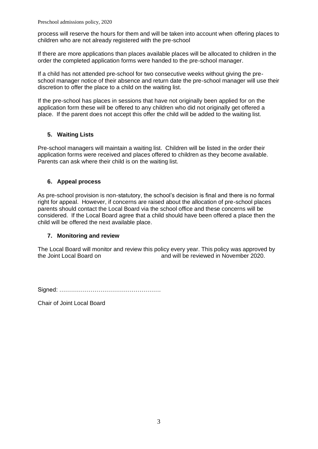process will reserve the hours for them and will be taken into account when offering places to children who are not already registered with the pre-school

If there are more applications than places available places will be allocated to children in the order the completed application forms were handed to the pre-school manager.

If a child has not attended pre-school for two consecutive weeks without giving the preschool manager notice of their absence and return date the pre-school manager will use their discretion to offer the place to a child on the waiting list.

If the pre-school has places in sessions that have not originally been applied for on the application form these will be offered to any children who did not originally get offered a place. If the parent does not accept this offer the child will be added to the waiting list.

## **5. Waiting Lists**

Pre-school managers will maintain a waiting list. Children will be listed in the order their application forms were received and places offered to children as they become available. Parents can ask where their child is on the waiting list.

## **6. Appeal process**

As pre-school provision is non-statutory, the school's decision is final and there is no formal right for appeal. However, if concerns are raised about the allocation of pre-school places parents should contact the Local Board via the school office and these concerns will be considered. If the Local Board agree that a child should have been offered a place then the child will be offered the next available place.

### **7. Monitoring and review**

The Local Board will monitor and review this policy every year. This policy was approved by the Joint Local Board on and will be reviewed in November 2020.

Signed: …………………………………………….

Chair of Joint Local Board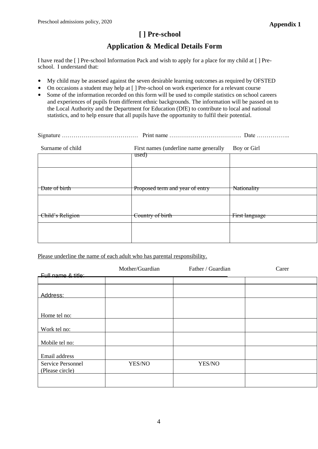## **[ ] Pre-school**

## **Application & Medical Details Form**

I have read the [ ] Pre-school Information Pack and wish to apply for a place for my child at [ ] Preschool. I understand that:

- My child may be assessed against the seven desirable learning outcomes as required by OFSTED
- On occasions a student may help at [ ] Pre-school on work experience for a relevant course
- Some of the information recorded on this form will be used to compile statistics on school careers and experiences of pupils from different ethnic backgrounds. The information will be passed on to the Local Authority and the Department for Education (DfE) to contribute to local and national statistics, and to help ensure that all pupils have the opportunity to fulfil their potential.

| Surname of child | First names (underline name generally | Boy or Girl    |
|------------------|---------------------------------------|----------------|
|                  | used)                                 |                |
|                  |                                       |                |
| Date of birth    | Proposed term and year of entry       | Nationality    |
|                  |                                       |                |
|                  |                                       |                |
| Child's Religion | Country of birth                      | First language |
|                  |                                       |                |
|                  |                                       |                |

Please underline the name of each adult who has parental responsibility.

|                                  | Mother/Guardian | Father / Guardian | Carer |
|----------------------------------|-----------------|-------------------|-------|
| <u>- Eull name &amp; title: </u> |                 |                   |       |
| Address:                         |                 |                   |       |
|                                  |                 |                   |       |
| Home tel no:                     |                 |                   |       |
| Work tel no:                     |                 |                   |       |
| Mobile tel no:                   |                 |                   |       |
| Email address                    |                 |                   |       |
| Service Personnel                | YES/NO          | YES/NO            |       |
| (Please circle)                  |                 |                   |       |
|                                  |                 |                   |       |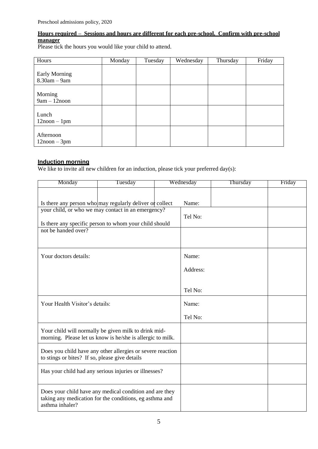## **Hours required – Sessions and hours are different for each pre-school. Confirm with pre-school manager**

Please tick the hours you would like your child to attend.

| Hours                                     | Monday | Tuesday | Wednesday | Thursday | Friday |
|-------------------------------------------|--------|---------|-----------|----------|--------|
| <b>Early Morning</b><br>$8.30$ am $-9$ am |        |         |           |          |        |
| Morning<br>$9am - 12n$ oon                |        |         |           |          |        |
| Lunch<br>$12$ noon $-1$ pm                |        |         |           |          |        |
| Afternoon<br>$12$ noon $-3$ pm            |        |         |           |          |        |

## **Induction morning**

We like to invite all new children for an induction, please tick your preferred day(s):

| Monday                                                                                                                                                                                          | Tuesday | Wednesday |                  | Thursday | Friday |
|-------------------------------------------------------------------------------------------------------------------------------------------------------------------------------------------------|---------|-----------|------------------|----------|--------|
| Is there any person who may regularly deliver of collect<br>your child, or who we may contact in an emergency?<br>Is there any specific person to whom your child should<br>not be handed over? |         |           | Name:<br>Tel No: |          |        |
|                                                                                                                                                                                                 |         |           |                  |          |        |
| Your doctors details:                                                                                                                                                                           |         |           | Name:            |          |        |
|                                                                                                                                                                                                 |         |           | Address:         |          |        |
|                                                                                                                                                                                                 |         |           | Tel No:          |          |        |
| Your Health Visitor's details:                                                                                                                                                                  |         |           | Name:            |          |        |
|                                                                                                                                                                                                 |         |           | Tel No:          |          |        |
| Your child will normally be given milk to drink mid-<br>morning. Please let us know is he/she is allergic to milk.                                                                              |         |           |                  |          |        |
| Does you child have any other allergies or severe reaction<br>to stings or bites? If so, please give details                                                                                    |         |           |                  |          |        |
| Has your child had any serious injuries or illnesses?                                                                                                                                           |         |           |                  |          |        |
| Does your child have any medical condition and are they<br>taking any medication for the conditions, eg asthma and<br>asthma inhaler?                                                           |         |           |                  |          |        |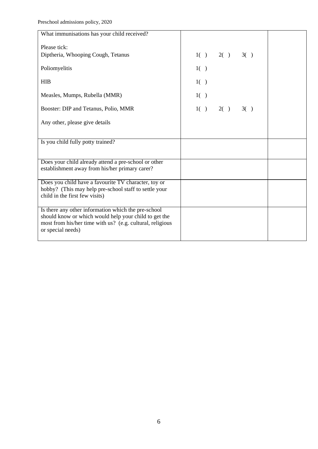| What immunisations has your child received?                                                                  |     |                   |  |
|--------------------------------------------------------------------------------------------------------------|-----|-------------------|--|
| Please tick:                                                                                                 |     |                   |  |
| Diptheria, Whooping Cough, Tetanus                                                                           |     | 1() 2() 3()       |  |
| Poliomyelitis                                                                                                | 1() |                   |  |
| <b>HIB</b>                                                                                                   | 1() |                   |  |
| Measles, Mumps, Rubella (MMR)                                                                                | 1() |                   |  |
| Booster: DIP and Tetanus, Polio, MMR                                                                         |     | $1() \t2() \t3()$ |  |
| Any other, please give details                                                                               |     |                   |  |
|                                                                                                              |     |                   |  |
| Is you child fully potty trained?                                                                            |     |                   |  |
|                                                                                                              |     |                   |  |
| Does your child already attend a pre-school or other<br>establishment away from his/her primary carer?       |     |                   |  |
| Does you child have a favourite TV character, toy or                                                         |     |                   |  |
| hobby? (This may help pre-school staff to settle your<br>child in the first few visits)                      |     |                   |  |
|                                                                                                              |     |                   |  |
| Is there any other information which the pre-school<br>should know or which would help your child to get the |     |                   |  |
| most from his/her time with us? (e.g. cultural, religious                                                    |     |                   |  |
| or special needs)                                                                                            |     |                   |  |
|                                                                                                              |     |                   |  |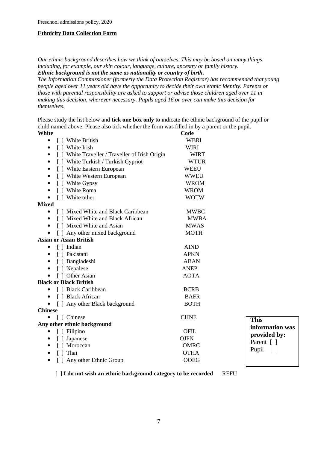#### **Ethnicity Data Collection Form**

*Our ethnic background describes how we think of ourselves. This may be based on many things, including, for example, our skin colour, language, culture, ancestry or family history. Ethnic background is not the same as nationality or country of birth.*

*The Information Commissioner (formerly the Data Protection Registrar) has recommended that young people aged over 11 years old have the opportunity to decide their own ethnic identity. Parents or those with parental responsibility are asked to support or advise those children aged over 11 in making this decision, wherever necessary. Pupils aged 16 or over can make this decision for themselves.*

Please study the list below and **tick one box only** to indicate the ethnic background of the pupil or child named above. Please also tick whether the form was filled in by a parent or the pupil. **White** Code

| [ ] White British                                            | <b>WBRI</b> |              |
|--------------------------------------------------------------|-------------|--------------|
| [ ] White Irish                                              | <b>WIRI</b> |              |
| [ ] White Traveller / Traveller of Irish Origin<br>$\bullet$ | <b>WIRT</b> |              |
| [ ] White Turkish / Turkish Cypriot<br>$\bullet$             | <b>WTUR</b> |              |
| [ ] White Eastern European                                   | <b>WEEU</b> |              |
| [ ] White Western European<br>$\bullet$                      | <b>WWEU</b> |              |
| [ ] White Gypsy<br>٠                                         | <b>WROM</b> |              |
| [ ] White Roma<br>$\bullet$                                  | <b>WROM</b> |              |
| [ ] White other                                              | <b>WOTW</b> |              |
| <b>Mixed</b>                                                 |             |              |
| [] Mixed White and Black Caribbean<br>٠                      | <b>MWBC</b> |              |
| [ ] Mixed White and Black African                            | <b>MWBA</b> |              |
| [ ] Mixed White and Asian<br>٠                               | <b>MWAS</b> |              |
| [ ] Any other mixed background                               | <b>MOTH</b> |              |
| <b>Asian or Asian British</b>                                |             |              |
| [ ] Indian                                                   | <b>AIND</b> |              |
| [ ] Pakistani<br>$\bullet$                                   | <b>APKN</b> |              |
| [ ] Bangladeshi                                              | <b>ABAN</b> |              |
| [ ] Nepalese<br>$\bullet$                                    | <b>ANEP</b> |              |
| [ ] Other Asian                                              | <b>AOTA</b> |              |
| <b>Black or Black British</b>                                |             |              |
| [ ] Black Caribbean                                          | <b>BCRB</b> |              |
| [ ] Black African<br>$\bullet$                               | <b>BAFR</b> |              |
| [ ] Any other Black background                               | <b>BOTH</b> |              |
| <b>Chinese</b>                                               |             |              |
| [ ] Chinese<br>$\bullet$                                     | <b>CHNE</b> | I            |
| Any other ethnic background                                  |             | $\mathbf{i}$ |
| [ ] Filipino                                                 | OFIL        | $\mathbf{p}$ |
| [ ] Japanese<br>٠                                            | <b>OJPN</b> | $\mathbf P$  |
| [ ] Moroccan<br>٠                                            | <b>OMRC</b> | $\mathbf P$  |
| [ ] Thai<br>$\bullet$                                        | <b>OTHA</b> |              |
| [ ] Any other Ethnic Group                                   | <b>OOEG</b> |              |

**This information was provided by:**  Parent  $\lceil \cdot \rceil$ Pupil [ ]

[ ] **I do not wish an ethnic background category to be recorded** REFU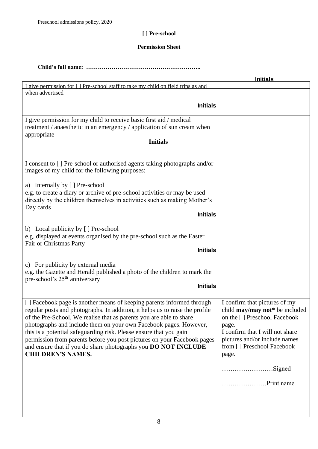## **[ ] Pre-school**

### **Permission Sheet**

**Child's full name: …………………………………………………..**

| <b>Initials</b>                                                                                                                                                                                                                             |
|---------------------------------------------------------------------------------------------------------------------------------------------------------------------------------------------------------------------------------------------|
|                                                                                                                                                                                                                                             |
|                                                                                                                                                                                                                                             |
|                                                                                                                                                                                                                                             |
|                                                                                                                                                                                                                                             |
|                                                                                                                                                                                                                                             |
|                                                                                                                                                                                                                                             |
|                                                                                                                                                                                                                                             |
| I confirm that pictures of my<br>child may/may not* be included<br>on the [] Preschool Facebook<br>page.<br>I confirm that I will not share<br>pictures and/or include names<br>from [] Preschool Facebook<br>page.<br>Signed<br>Print name |
|                                                                                                                                                                                                                                             |